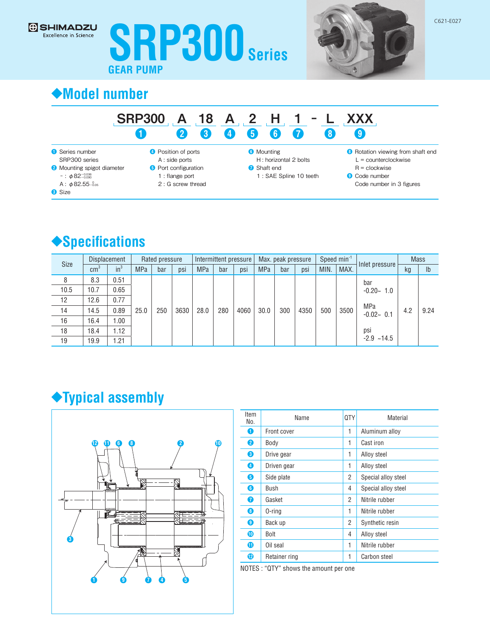



## **◆Model number**

### SRP300 A 18 A 2 H 1 − ❶ ❷ ❸ 4 ❺ **a** ❼ L XXX ❽ ❾

- **O** Series number SRP300 series
- <sup>2</sup> Mounting spigot diameter
- − : φ82−0.036 −0.090
- A:  $\phi$ 82.55 $^{0}_{-0.05}$
- **8** Size
- **O** Position of ports A : side ports
- **O** Port configuration
	- 1 : flange port
	- 2 : G screw thread

**6** Mounting

- H: horizontal 2 bolts **↑** Shaft end
	- 1 : SAE Spline 10 teeth
		-
- <sup>8</sup> Rotation viewing from shaft end
- $L =$  counterclockwise
- $R =$  clockwise <sup>9</sup> Code number
- Code number in 3 figures

## **◆Specifications**

| <b>Size</b> | <b>Displacement</b> |        | Rated pressure |     | Intermittent pressure |            |     | Max. peak pressure |            |     | Speed min <sup>-1</sup> |      | Inlet pressure | <b>Mass</b>          |     |                |
|-------------|---------------------|--------|----------------|-----|-----------------------|------------|-----|--------------------|------------|-----|-------------------------|------|----------------|----------------------|-----|----------------|
|             | $\text{cm}^3$       | $in^3$ | <b>MPa</b>     | bar | psi                   | <b>MPa</b> | bar | psi                | <b>MPa</b> | bar | psi                     | MIN. | MAX.           |                      | kg  | I <sub>b</sub> |
| 8           | 8.3                 | 0.51   | 25.0           | 250 | 3630                  | 28.0       | 280 | 4060               | 30.0       | 300 | 4350                    | 500  | 3500           | bar<br>$-0.20 - 1.0$ | 4.2 | 9.24           |
| 10.5        | 10.7                | 0.65   |                |     |                       |            |     |                    |            |     |                         |      |                |                      |     |                |
| 12          | 12.6                | 0.77   |                |     |                       |            |     |                    |            |     |                         |      |                | MPa<br>$-0.02 - 0.1$ |     |                |
| 14          | 14.5                | 0.89   |                |     |                       |            |     |                    |            |     |                         |      |                |                      |     |                |
| 16          | 16.4                | 1.00   |                |     |                       |            |     |                    |            |     |                         |      |                |                      |     |                |
| 18          | 18.4                | 1.12   |                |     |                       |            |     |                    |            |     |                         |      |                | psi                  |     |                |
| 19          | 19.9                | 1.21   |                |     |                       |            |     |                    |            |     |                         |      |                | $-2.9$ $-14.5$       |     |                |

# **◆Typical assembly**



| Item<br>No. | Name          | <b>QTY</b> | Material            |
|-------------|---------------|------------|---------------------|
| 0           | Front cover   | 1          | Aluminum alloy      |
| 2           | Body          | 1          | Cast iron           |
| 6           | Drive gear    | 1          | Alloy steel         |
| 4           | Driven gear   | 1          | Alloy steel         |
| ❺           | Side plate    | 2          | Special alloy steel |
| 6           | Bush          | 4          | Special alloy steel |
| 0           | Gasket        | 2          | Nitrile rubber      |
| 0           | $0$ -ring     | 1          | Nitrile rubber      |
| 0           | Back up       | 2          | Synthetic resin     |
| ◍           | <b>Bolt</b>   | 4          | Alloy steel         |
| ➊           | Oil seal      | 1          | Nitrile rubber      |
| ®           | Retainer ring | 1          | Carbon steel        |

NOTES : "QTY" shows the amount per one

C621-E027